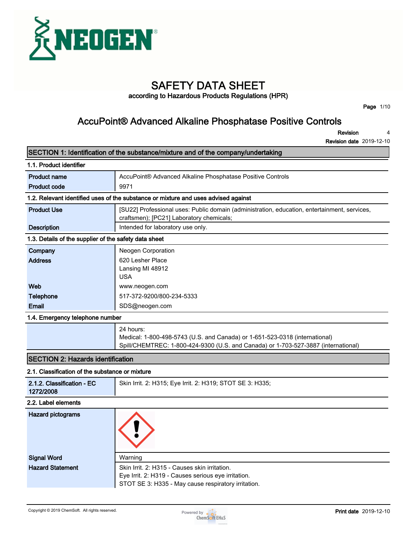

# **SAFETY DATA SHEET**

**according to Hazardous Products Regulations (HPR)**

**Page 1/10**

## **AccuPoint® Advanced Alkaline Phosphatase Positive Controls**

**Revision 4**

**Revision date 2019-12-10**

|                                                       | SECTION 1: Identification of the substance/mixture and of the company/undertaking                                                        |  |  |
|-------------------------------------------------------|------------------------------------------------------------------------------------------------------------------------------------------|--|--|
| 1.1. Product identifier                               |                                                                                                                                          |  |  |
| <b>Product name</b>                                   | AccuPoint® Advanced Alkaline Phosphatase Positive Controls                                                                               |  |  |
| <b>Product code</b>                                   | 9971                                                                                                                                     |  |  |
|                                                       | 1.2. Relevant identified uses of the substance or mixture and uses advised against                                                       |  |  |
| <b>Product Use</b>                                    | [SU22] Professional uses: Public domain (administration, education, entertainment, services,<br>craftsmen); [PC21] Laboratory chemicals; |  |  |
| <b>Description</b>                                    | Intended for laboratory use only.                                                                                                        |  |  |
| 1.3. Details of the supplier of the safety data sheet |                                                                                                                                          |  |  |
| Company                                               | Neogen Corporation                                                                                                                       |  |  |
| <b>Address</b>                                        | 620 Lesher Place<br>Lansing MI 48912<br><b>USA</b>                                                                                       |  |  |
| Web                                                   | www.neogen.com                                                                                                                           |  |  |
| <b>Telephone</b>                                      | 517-372-9200/800-234-5333                                                                                                                |  |  |
| Email                                                 | SDS@neogen.com                                                                                                                           |  |  |
| 1.4. Emergency telephone number                       |                                                                                                                                          |  |  |
|                                                       | 24 hours:<br>Medical: 1-800-498-5743 (U.S. and Canada) or 1-651-523-0318 (international)                                                 |  |  |

## **SECTION 2: Hazards identification**

## **2.1. Classification of the substance or mixture**

| <u>2. I. Classilication of the substance of mixture</u> |                                                           |  |
|---------------------------------------------------------|-----------------------------------------------------------|--|
| 2.1.2. Classification - EC<br>1272/2008                 | Skin Irrit. 2: H315; Eye Irrit. 2: H319; STOT SE 3: H335; |  |
| 2.2. Label elements                                     |                                                           |  |
| Hazard pictograms                                       |                                                           |  |
| <b>Signal Word</b>                                      | Warning                                                   |  |
| <b>Hazard Statement</b>                                 | Skin Irrit. 2: H315 - Causes skin irritation.             |  |

**Spill/CHEMTREC: 1-800-424-9300 (U.S. and Canada) or 1-703-527-3887 (international)**

**Eye Irrit. 2: H319 - Causes serious eye irritation.**

**STOT SE 3: H335 - May cause respiratory irritation.**

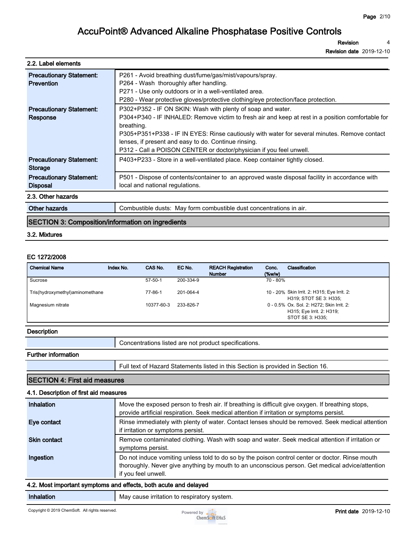**Revision 4**

**Revision date 2019-12-10**

#### **2.2. Label elements**

| <b>Precautionary Statement:</b>                    | P261 - Avoid breathing dust/fume/gas/mist/vapours/spray.                                                                                             |  |  |
|----------------------------------------------------|------------------------------------------------------------------------------------------------------------------------------------------------------|--|--|
| <b>Prevention</b>                                  | P264 - Wash thoroughly after handling.                                                                                                               |  |  |
|                                                    | P271 - Use only outdoors or in a well-ventilated area.                                                                                               |  |  |
|                                                    | P280 - Wear protective gloves/protective clothing/eye protection/face protection.                                                                    |  |  |
| <b>Precautionary Statement:</b>                    | P302+P352 - IF ON SKIN: Wash with plenty of soap and water.                                                                                          |  |  |
| Response                                           | P304+P340 - IF INHALED: Remove victim to fresh air and keep at rest in a position comfortable for<br>breathing.                                      |  |  |
|                                                    | P305+P351+P338 - IF IN EYES: Rinse cautiously with water for several minutes. Remove contact<br>lenses, if present and easy to do. Continue rinsing. |  |  |
|                                                    | P312 - Call a POISON CENTER or doctor/physician if you feel unwell.                                                                                  |  |  |
| <b>Precautionary Statement:</b><br><b>Storage</b>  | P403+P233 - Store in a well-ventilated place. Keep container tightly closed.                                                                         |  |  |
| <b>Precautionary Statement:</b><br><b>Disposal</b> | P501 - Dispose of contents/container to an approved waste disposal facility in accordance with<br>local and national regulations.                    |  |  |
| 2.3. Other hazards                                 |                                                                                                                                                      |  |  |
| Other hazards                                      | Combustible dusts: May form combustible dust concentrations in air.                                                                                  |  |  |

## **SECTION 3: Composition/information on ingredients**

#### **3.2. Mixtures**

#### **EC 1272/2008**

| <b>Chemical Name</b>            | Index No. | CAS No.       | EC No.    | <b>REACH Registration</b><br><b>Number</b> | Conc.<br>(% | Classification                                                                             |
|---------------------------------|-----------|---------------|-----------|--------------------------------------------|-------------|--------------------------------------------------------------------------------------------|
| Sucrose                         |           | $57 - 50 - 1$ | 200-334-9 |                                            | 70 - 80%    |                                                                                            |
| Tris(hydroxymethyl)aminomethane |           | 77-86-1       | 201-064-4 |                                            |             | 10 - 20% Skin Irrit. 2: H315; Eye Irrit. 2:<br>H319; STOT SE 3: H335;                      |
| Magnesium nitrate               |           | 10377-60-3    | 233-826-7 |                                            |             | 0 - 0.5% Ox. Sol. 2: H272; Skin Irrit. 2:<br>H315; Eye Irrit. 2: H319;<br>STOT SE 3: H335: |

#### **Description**

| Concentrations listed are not product specifications. |
|-------------------------------------------------------|
|                                                       |

#### **Further information**

**Full text of Hazard Statements listed in this Section is provided in Section 16.**

#### **SECTION 4: First aid measures**

## **4.1. Description of first aid measures**

| Inhalation          | Move the exposed person to fresh air. If breathing is difficult give oxygen. If breathing stops,<br>provide artificial respiration. Seek medical attention if irritation or symptoms persist.                             |
|---------------------|---------------------------------------------------------------------------------------------------------------------------------------------------------------------------------------------------------------------------|
| Eye contact         | Rinse immediately with plenty of water. Contact lenses should be removed. Seek medical attention<br>if irritation or symptoms persist.                                                                                    |
| <b>Skin contact</b> | Remove contaminated clothing. Wash with soap and water. Seek medical attention if irritation or<br>symptoms persist.                                                                                                      |
| Ingestion           | Do not induce vomiting unless told to do so by the poison control center or doctor. Rinse mouth<br>thoroughly. Never give anything by mouth to an unconscious person. Get medical advice/attention<br>if you feel unwell. |
|                     | 4.0. Maat been adamt acomptance and affects. In the agents and delayed.                                                                                                                                                   |

### **4.2. Most important symptoms and effects, both acute and delayed**

**Inhalation May cause irritation to respiratory system.** 

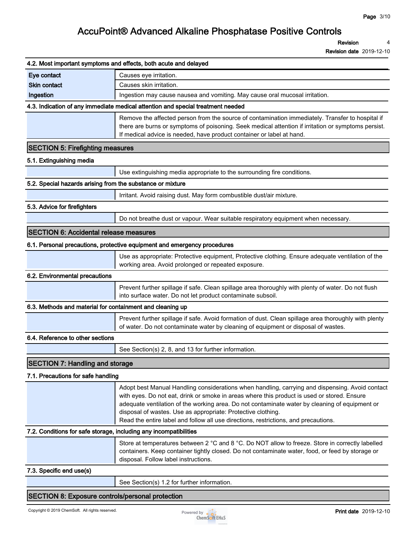**Revision 4**

|                                                                   | 4.2. Most important symptoms and effects, both acute and delayed                                                                                                                                                                                                                                                                                                                                                                                        |
|-------------------------------------------------------------------|---------------------------------------------------------------------------------------------------------------------------------------------------------------------------------------------------------------------------------------------------------------------------------------------------------------------------------------------------------------------------------------------------------------------------------------------------------|
| Eye contact                                                       | Causes eye irritation.                                                                                                                                                                                                                                                                                                                                                                                                                                  |
| <b>Skin contact</b>                                               | Causes skin irritation.                                                                                                                                                                                                                                                                                                                                                                                                                                 |
| Ingestion                                                         | Ingestion may cause nausea and vomiting. May cause oral mucosal irritation.                                                                                                                                                                                                                                                                                                                                                                             |
|                                                                   | 4.3. Indication of any immediate medical attention and special treatment needed                                                                                                                                                                                                                                                                                                                                                                         |
|                                                                   | Remove the affected person from the source of contamination immediately. Transfer to hospital if<br>there are burns or symptoms of poisoning. Seek medical attention if irritation or symptoms persist.<br>If medical advice is needed, have product container or label at hand.                                                                                                                                                                        |
| <b>SECTION 5: Firefighting measures</b>                           |                                                                                                                                                                                                                                                                                                                                                                                                                                                         |
| 5.1. Extinguishing media                                          |                                                                                                                                                                                                                                                                                                                                                                                                                                                         |
|                                                                   | Use extinguishing media appropriate to the surrounding fire conditions.                                                                                                                                                                                                                                                                                                                                                                                 |
| 5.2. Special hazards arising from the substance or mixture        |                                                                                                                                                                                                                                                                                                                                                                                                                                                         |
|                                                                   | Irritant. Avoid raising dust. May form combustible dust/air mixture.                                                                                                                                                                                                                                                                                                                                                                                    |
| 5.3. Advice for firefighters                                      |                                                                                                                                                                                                                                                                                                                                                                                                                                                         |
|                                                                   | Do not breathe dust or vapour. Wear suitable respiratory equipment when necessary.                                                                                                                                                                                                                                                                                                                                                                      |
| <b>SECTION 6: Accidental release measures</b>                     |                                                                                                                                                                                                                                                                                                                                                                                                                                                         |
|                                                                   | 6.1. Personal precautions, protective equipment and emergency procedures                                                                                                                                                                                                                                                                                                                                                                                |
|                                                                   | Use as appropriate: Protective equipment, Protective clothing. Ensure adequate ventilation of the<br>working area. Avoid prolonged or repeated exposure.                                                                                                                                                                                                                                                                                                |
| 6.2. Environmental precautions                                    |                                                                                                                                                                                                                                                                                                                                                                                                                                                         |
|                                                                   | Prevent further spillage if safe. Clean spillage area thoroughly with plenty of water. Do not flush<br>into surface water. Do not let product contaminate subsoil.                                                                                                                                                                                                                                                                                      |
| 6.3. Methods and material for containment and cleaning up         |                                                                                                                                                                                                                                                                                                                                                                                                                                                         |
|                                                                   | Prevent further spillage if safe. Avoid formation of dust. Clean spillage area thoroughly with plenty<br>of water. Do not contaminate water by cleaning of equipment or disposal of wastes.                                                                                                                                                                                                                                                             |
| 6.4. Reference to other sections                                  |                                                                                                                                                                                                                                                                                                                                                                                                                                                         |
|                                                                   | See Section(s) 2, 8, and 13 for further information.                                                                                                                                                                                                                                                                                                                                                                                                    |
| <b>SECTION 7: Handling and storage</b>                            |                                                                                                                                                                                                                                                                                                                                                                                                                                                         |
| 7.1. Precautions for safe handling                                |                                                                                                                                                                                                                                                                                                                                                                                                                                                         |
|                                                                   | Adopt best Manual Handling considerations when handling, carrying and dispensing. Avoid contact<br>with eyes. Do not eat, drink or smoke in areas where this product is used or stored. Ensure<br>adequate ventilation of the working area. Do not contaminate water by cleaning of equipment or<br>disposal of wastes. Use as appropriate: Protective clothing.<br>Read the entire label and follow all use directions, restrictions, and precautions. |
| 7.2. Conditions for safe storage, including any incompatibilities |                                                                                                                                                                                                                                                                                                                                                                                                                                                         |
|                                                                   | Store at temperatures between 2 °C and 8 °C. Do NOT allow to freeze. Store in correctly labelled<br>containers. Keep container tightly closed. Do not contaminate water, food, or feed by storage or<br>disposal. Follow label instructions.                                                                                                                                                                                                            |
| 7.3. Specific end use(s)                                          |                                                                                                                                                                                                                                                                                                                                                                                                                                                         |
|                                                                   | See Section(s) 1.2 for further information.                                                                                                                                                                                                                                                                                                                                                                                                             |
| <b>SECTION 8: Exposure controls/personal protection</b>           |                                                                                                                                                                                                                                                                                                                                                                                                                                                         |
| Copyright © 2019 ChemSoft. All rights reserved.                   | <b>Print date</b> 2019-12-10<br>Powered by $\bullet$ $\bullet$<br><b>ChemSoft EH&amp;S</b>                                                                                                                                                                                                                                                                                                                                                              |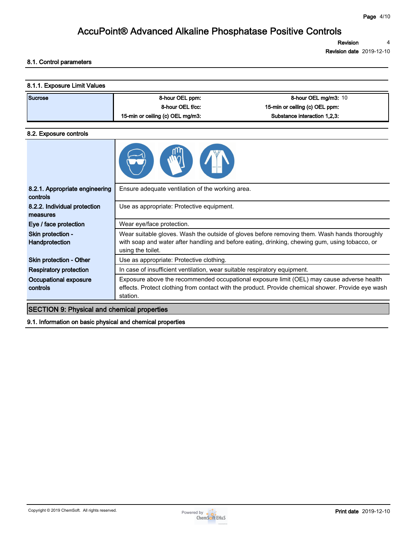**Revision 4**

**Revision date 2019-12-10**

### **8.1. Control parameters**

| Sucrose | 8-hour OEL ppm:                  | 8-hour OEL mg/m3: 10           |
|---------|----------------------------------|--------------------------------|
|         | 8-hour OEL f/cc.                 | 15-min or ceiling (c) OEL ppm: |
|         | 15-min or ceiling (c) OEL mg/m3: | Substance interaction 1.2.3:   |

#### **8.2. Exposure controls**

| 8.2.1. Appropriate engineering<br>controls | Ensure adequate ventilation of the working area.                                                                                                                                                                    |
|--------------------------------------------|---------------------------------------------------------------------------------------------------------------------------------------------------------------------------------------------------------------------|
| 8.2.2. Individual protection<br>measures   | Use as appropriate: Protective equipment.                                                                                                                                                                           |
| Eye / face protection                      | Wear eye/face protection.                                                                                                                                                                                           |
| Skin protection -<br>Handprotection        | Wear suitable gloves. Wash the outside of gloves before removing them. Wash hands thoroughly<br>with soap and water after handling and before eating, drinking, chewing gum, using tobacco, or<br>using the toilet. |
| Skin protection - Other                    | Use as appropriate: Protective clothing.                                                                                                                                                                            |
| Respiratory protection                     | In case of insufficient ventilation, wear suitable respiratory equipment.                                                                                                                                           |
| Occupational exposure<br>controls          | Exposure above the recommended occupational exposure limit (OEL) may cause adverse health<br>effects. Protect clothing from contact with the product. Provide chemical shower. Provide eye wash<br>station.         |

### **SECTION 9: Physical and chemical properties**

**9.1. Information on basic physical and chemical properties**

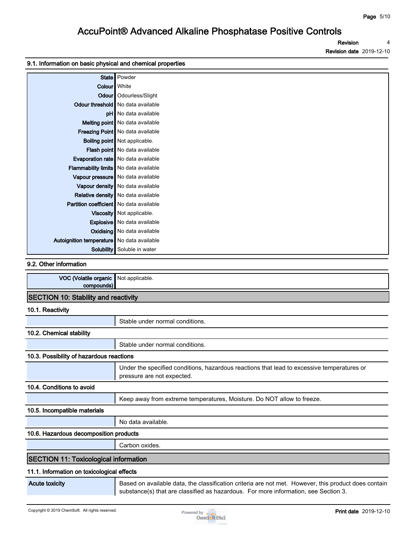**Revision Revision date 2019-12-10 4**

#### **9.1. Information on basic physical and chemical properties**

|                                                | State   Powder                       |
|------------------------------------------------|--------------------------------------|
| Colour   White                                 |                                      |
|                                                | Odour   Odourless/Slight             |
|                                                | Odour threshold   No data available  |
|                                                | pH   No data available               |
|                                                | Melting point   No data available    |
|                                                | Freezing Point   No data available   |
|                                                | <b>Boiling point</b> Not applicable. |
|                                                | Flash point No data available        |
|                                                | Evaporation rate   No data available |
| Flammability limits   No data available        |                                      |
|                                                | Vapour pressure   No data available  |
|                                                | Vapour density   No data available   |
|                                                | Relative density   No data available |
| <b>Partition coefficient</b> No data available |                                      |
|                                                | Viscosity   Not applicable.          |
|                                                | Explosive   No data available        |
|                                                | <b>Oxidising</b> No data available   |
| Autoignition temperature   No data available   |                                      |
| Solubility                                     | Soluble in water                     |

#### **9.2. Other information**

| VOC (Volatile organic<br>compounds)          | Not applicable.                                                                                                                                                                             |  |  |
|----------------------------------------------|---------------------------------------------------------------------------------------------------------------------------------------------------------------------------------------------|--|--|
| <b>SECTION 10: Stability and reactivity</b>  |                                                                                                                                                                                             |  |  |
| 10.1. Reactivity                             |                                                                                                                                                                                             |  |  |
|                                              | Stable under normal conditions.                                                                                                                                                             |  |  |
| 10.2. Chemical stability                     |                                                                                                                                                                                             |  |  |
|                                              | Stable under normal conditions.                                                                                                                                                             |  |  |
| 10.3. Possibility of hazardous reactions     |                                                                                                                                                                                             |  |  |
|                                              | Under the specified conditions, hazardous reactions that lead to excessive temperatures or<br>pressure are not expected.                                                                    |  |  |
| 10.4. Conditions to avoid                    |                                                                                                                                                                                             |  |  |
|                                              | Keep away from extreme temperatures, Moisture. Do NOT allow to freeze.                                                                                                                      |  |  |
| 10.5. Incompatible materials                 |                                                                                                                                                                                             |  |  |
|                                              | No data available.                                                                                                                                                                          |  |  |
| 10.6. Hazardous decomposition products       |                                                                                                                                                                                             |  |  |
|                                              | Carbon oxides.                                                                                                                                                                              |  |  |
| <b>SECTION 11: Toxicological information</b> |                                                                                                                                                                                             |  |  |
| 11.1. Information on toxicological effects   |                                                                                                                                                                                             |  |  |
| <b>Acute toxicity</b>                        | Based on available data, the classification criteria are not met. However, this product does contain<br>substance(s) that are classified as hazardous. For more information, see Section 3. |  |  |

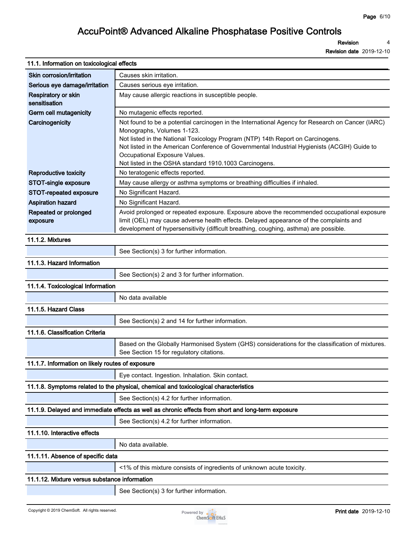**Revision 4**

| 11.1. Information on toxicological effects       |                                                                                                                                                                                                                                                                                                                                                                                                              |
|--------------------------------------------------|--------------------------------------------------------------------------------------------------------------------------------------------------------------------------------------------------------------------------------------------------------------------------------------------------------------------------------------------------------------------------------------------------------------|
| Skin corrosion/irritation                        | Causes skin irritation.                                                                                                                                                                                                                                                                                                                                                                                      |
| Serious eye damage/irritation                    | Causes serious eye irritation.                                                                                                                                                                                                                                                                                                                                                                               |
| Respiratory or skin<br>sensitisation             | May cause allergic reactions in susceptible people.                                                                                                                                                                                                                                                                                                                                                          |
| Germ cell mutagenicity                           | No mutagenic effects reported.                                                                                                                                                                                                                                                                                                                                                                               |
| Carcinogenicity                                  | Not found to be a potential carcinogen in the International Agency for Research on Cancer (IARC)<br>Monographs, Volumes 1-123.<br>Not listed in the National Toxicology Program (NTP) 14th Report on Carcinogens.<br>Not listed in the American Conference of Governmental Industrial Hygienists (ACGIH) Guide to<br>Occupational Exposure Values.<br>Not listed in the OSHA standard 1910.1003 Carcinogens. |
| <b>Reproductive toxicity</b>                     | No teratogenic effects reported.                                                                                                                                                                                                                                                                                                                                                                             |
| STOT-single exposure                             | May cause allergy or asthma symptoms or breathing difficulties if inhaled.                                                                                                                                                                                                                                                                                                                                   |
| STOT-repeated exposure                           | No Significant Hazard.                                                                                                                                                                                                                                                                                                                                                                                       |
| <b>Aspiration hazard</b>                         | No Significant Hazard.                                                                                                                                                                                                                                                                                                                                                                                       |
| Repeated or prolonged<br>exposure                | Avoid prolonged or repeated exposure. Exposure above the recommended occupational exposure<br>limit (OEL) may cause adverse health effects. Delayed appearance of the complaints and<br>development of hypersensitivity (difficult breathing, coughing, asthma) are possible.                                                                                                                                |
| 11.1.2. Mixtures                                 |                                                                                                                                                                                                                                                                                                                                                                                                              |
|                                                  | See Section(s) 3 for further information.                                                                                                                                                                                                                                                                                                                                                                    |
| 11.1.3. Hazard Information                       |                                                                                                                                                                                                                                                                                                                                                                                                              |
|                                                  | See Section(s) 2 and 3 for further information.                                                                                                                                                                                                                                                                                                                                                              |
| 11.1.4. Toxicological Information                |                                                                                                                                                                                                                                                                                                                                                                                                              |
|                                                  | No data available                                                                                                                                                                                                                                                                                                                                                                                            |
| 11.1.5. Hazard Class                             |                                                                                                                                                                                                                                                                                                                                                                                                              |
|                                                  | See Section(s) 2 and 14 for further information.                                                                                                                                                                                                                                                                                                                                                             |
| 11.1.6. Classification Criteria                  |                                                                                                                                                                                                                                                                                                                                                                                                              |
|                                                  | Based on the Globally Harmonised System (GHS) considerations for the classification of mixtures.<br>See Section 15 for regulatory citations.                                                                                                                                                                                                                                                                 |
| 11.1.7. Information on likely routes of exposure |                                                                                                                                                                                                                                                                                                                                                                                                              |
|                                                  | Eye contact. Ingestion. Inhalation. Skin contact.                                                                                                                                                                                                                                                                                                                                                            |
|                                                  | 11.1.8. Symptoms related to the physical, chemical and toxicological characteristics                                                                                                                                                                                                                                                                                                                         |
|                                                  | See Section(s) 4.2 for further information.                                                                                                                                                                                                                                                                                                                                                                  |
|                                                  | 11.1.9. Delayed and immediate effects as well as chronic effects from short and long-term exposure                                                                                                                                                                                                                                                                                                           |
|                                                  | See Section(s) 4.2 for further information.                                                                                                                                                                                                                                                                                                                                                                  |
| 11.1.10. Interactive effects                     |                                                                                                                                                                                                                                                                                                                                                                                                              |
|                                                  | No data available.                                                                                                                                                                                                                                                                                                                                                                                           |
| 11.1.11. Absence of specific data                |                                                                                                                                                                                                                                                                                                                                                                                                              |
|                                                  | <1% of this mixture consists of ingredients of unknown acute toxicity.                                                                                                                                                                                                                                                                                                                                       |
| 11.1.12. Mixture versus substance information    |                                                                                                                                                                                                                                                                                                                                                                                                              |
|                                                  | See Section(s) 3 for further information.                                                                                                                                                                                                                                                                                                                                                                    |

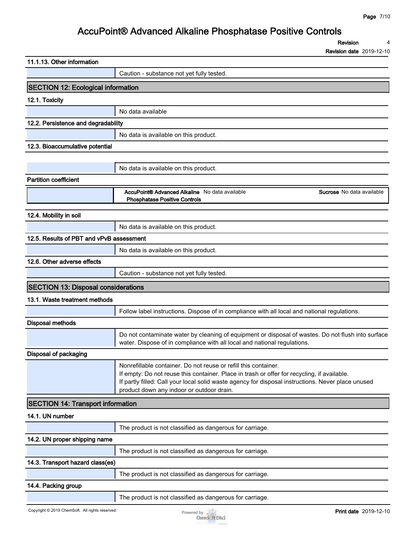**Revision 4**

| 11.1.13. Other information                      |                                                                                                                                                                                                                                                                                                                   |
|-------------------------------------------------|-------------------------------------------------------------------------------------------------------------------------------------------------------------------------------------------------------------------------------------------------------------------------------------------------------------------|
|                                                 | Caution - substance not yet fully tested.                                                                                                                                                                                                                                                                         |
| <b>SECTION 12: Ecological information</b>       |                                                                                                                                                                                                                                                                                                                   |
| 12.1. Toxicity                                  |                                                                                                                                                                                                                                                                                                                   |
|                                                 | No data available                                                                                                                                                                                                                                                                                                 |
| 12.2. Persistence and degradability             |                                                                                                                                                                                                                                                                                                                   |
|                                                 | No data is available on this product.                                                                                                                                                                                                                                                                             |
| 12.3. Bioaccumulative potential                 |                                                                                                                                                                                                                                                                                                                   |
|                                                 |                                                                                                                                                                                                                                                                                                                   |
|                                                 | No data is available on this product.                                                                                                                                                                                                                                                                             |
| <b>Partition coefficient</b>                    |                                                                                                                                                                                                                                                                                                                   |
|                                                 | AccuPoint® Advanced Alkaline No data available<br>Sucrose No data available<br><b>Phosphatase Positive Controls</b>                                                                                                                                                                                               |
| 12.4. Mobility in soil                          |                                                                                                                                                                                                                                                                                                                   |
|                                                 | No data is available on this product.                                                                                                                                                                                                                                                                             |
| 12.5. Results of PBT and vPvB assessment        |                                                                                                                                                                                                                                                                                                                   |
|                                                 | No data is available on this product.                                                                                                                                                                                                                                                                             |
| 12.6. Other adverse effects                     |                                                                                                                                                                                                                                                                                                                   |
|                                                 | Caution - substance not yet fully tested.                                                                                                                                                                                                                                                                         |
| <b>SECTION 13: Disposal considerations</b>      |                                                                                                                                                                                                                                                                                                                   |
| 13.1. Waste treatment methods                   |                                                                                                                                                                                                                                                                                                                   |
|                                                 | Follow label instructions. Dispose of in compliance with all local and national regulations.                                                                                                                                                                                                                      |
| <b>Disposal methods</b>                         |                                                                                                                                                                                                                                                                                                                   |
|                                                 | Do not contaminate water by cleaning of equipment or disposal of wastes. Do not flush into surface<br>water. Dispose of in compliance with all local and national regulations.                                                                                                                                    |
| Disposal of packaging                           |                                                                                                                                                                                                                                                                                                                   |
|                                                 | Nonrefillable container. Do not reuse or refill this container.<br>If empty: Do not reuse this container. Place in trash or offer for recycling, if available.<br>If partly filled: Call your local solid waste agency for disposal instructions. Never place unused<br>product down any indoor or outdoor drain. |
| <b>SECTION 14: Transport information</b>        |                                                                                                                                                                                                                                                                                                                   |
| 14.1. UN number                                 |                                                                                                                                                                                                                                                                                                                   |
|                                                 | The product is not classified as dangerous for carriage.                                                                                                                                                                                                                                                          |
| 14.2. UN proper shipping name                   |                                                                                                                                                                                                                                                                                                                   |
|                                                 | The product is not classified as dangerous for carriage.                                                                                                                                                                                                                                                          |
| 14.3. Transport hazard class(es)                |                                                                                                                                                                                                                                                                                                                   |
|                                                 | The product is not classified as dangerous for carriage.                                                                                                                                                                                                                                                          |
| 14.4. Packing group                             |                                                                                                                                                                                                                                                                                                                   |
|                                                 | The product is not classified as dangerous for carriage.                                                                                                                                                                                                                                                          |
| Copyright © 2019 ChemSoft. All rights reserved. | <b>Print date</b> 2019-12-10<br>Powered by $\bullet$ $\bullet$<br><b>ChemSoft EH&amp;S</b>                                                                                                                                                                                                                        |

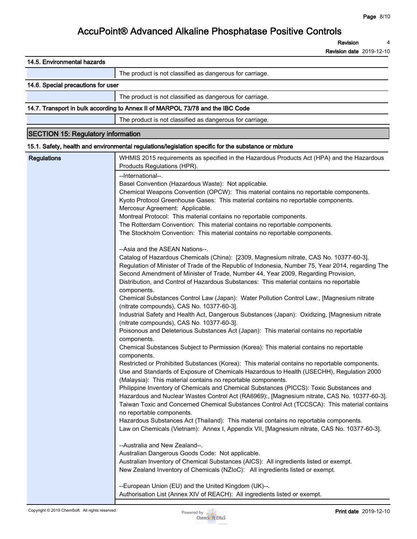**Revision 4**

| 14.5. Environmental hazards               |                                                                                                                                                                                                                                                                                                                                                                                                                                                                                                                                                                                                                                                                          |
|-------------------------------------------|--------------------------------------------------------------------------------------------------------------------------------------------------------------------------------------------------------------------------------------------------------------------------------------------------------------------------------------------------------------------------------------------------------------------------------------------------------------------------------------------------------------------------------------------------------------------------------------------------------------------------------------------------------------------------|
|                                           | The product is not classified as dangerous for carriage.                                                                                                                                                                                                                                                                                                                                                                                                                                                                                                                                                                                                                 |
| 14.6. Special precautions for user        |                                                                                                                                                                                                                                                                                                                                                                                                                                                                                                                                                                                                                                                                          |
|                                           | The product is not classified as dangerous for carriage.                                                                                                                                                                                                                                                                                                                                                                                                                                                                                                                                                                                                                 |
|                                           | 14.7. Transport in bulk according to Annex II of MARPOL 73/78 and the IBC Code                                                                                                                                                                                                                                                                                                                                                                                                                                                                                                                                                                                           |
|                                           | The product is not classified as dangerous for carriage.                                                                                                                                                                                                                                                                                                                                                                                                                                                                                                                                                                                                                 |
| <b>SECTION 15: Regulatory information</b> |                                                                                                                                                                                                                                                                                                                                                                                                                                                                                                                                                                                                                                                                          |
|                                           | 15.1. Safety, health and environmental regulations/legislation specific for the substance or mixture                                                                                                                                                                                                                                                                                                                                                                                                                                                                                                                                                                     |
| <b>Regulations</b>                        | WHMIS 2015 requirements as specified in the Hazardous Products Act (HPA) and the Hazardous<br>Products Regulations (HPR).<br>--International--.<br>Basel Convention (Hazardous Waste): Not applicable.<br>Chemical Weapons Convention (OPCW): This material contains no reportable components.<br>Kyoto Protocol Greenhouse Gases: This material contains no reportable components.<br>Mercosur Agreement: Applicable.                                                                                                                                                                                                                                                   |
|                                           | Montreal Protocol: This material contains no reportable components.<br>The Rotterdam Convention: This material contains no reportable components.<br>The Stockholm Convention: This material contains no reportable components.                                                                                                                                                                                                                                                                                                                                                                                                                                          |
|                                           | --Asia and the ASEAN Nations--.<br>Catalog of Hazardous Chemicals (China): [2309, Magnesium nitrate, CAS No. 10377-60-3].<br>Regulation of Minister of Trade of the Republic of Indonesia, Number 75, Year 2014, regarding The<br>Second Amendment of Minister of Trade, Number 44, Year 2009, Regarding Provision,<br>Distribution, and Control of Hazardous Substances: This material contains no reportable<br>components.<br>Chemical Substances Control Law (Japan): Water Pollution Control Law:, [Magnesium nitrate<br>(nitrate compounds), CAS No. 10377-60-3].<br>Industrial Safety and Health Act, Dangerous Substances (Japan): Oxidizing, [Magnesium nitrate |
|                                           | (nitrate compounds), CAS No. 10377-60-3].<br>Poisonous and Deleterious Substances Act (Japan): This material contains no reportable<br>components.<br>Chemical Substances Subject to Permission (Korea): This material contains no reportable<br>components.<br>Restricted or Prohibited Substances (Korea): This material contains no reportable components.<br>Use and Standards of Exposure of Chemicals Hazardous to Health (USECHH), Regulation 2000<br>(Malaysia): This material contains no reportable components.                                                                                                                                                |
|                                           | Philippine Inventory of Chemicals and Chemical Substances (PICCS): Toxic Substances and<br>Hazardous and Nuclear Wastes Control Act (RA6969):, [Magnesium nitrate, CAS No. 10377-60-3].<br>Taiwan Toxic and Concerned Chemical Substances Control Act (TCCSCA): This material contains<br>no reportable components.<br>Hazardous Substances Act (Thailand): This material contains no reportable components.<br>Law on Chemicals (Vietnam): Annex I, Appendix VII, [Magnesium nitrate, CAS No. 10377-60-3].<br>--Australia and New Zealand--.                                                                                                                            |
|                                           | Australian Dangerous Goods Code: Not applicable.<br>Australian Inventory of Chemical Substances (AICS): All ingredients listed or exempt.<br>New Zealand Inventory of Chemicals (NZIoC): All ingredients listed or exempt.<br>--European Union (EU) and the United Kingdom (UK)--.<br>Authorisation List (Annex XIV of REACH): All ingredients listed or exempt.                                                                                                                                                                                                                                                                                                         |

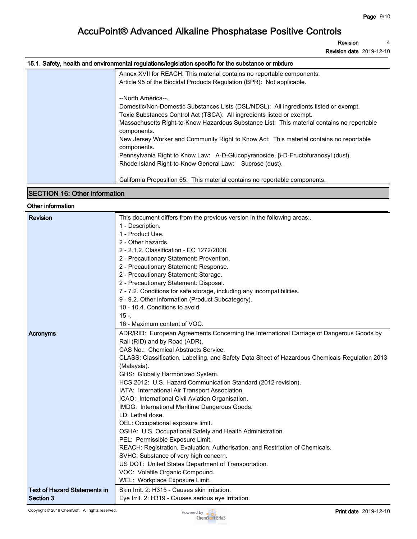**Revision 4**

**Revision date 2019-12-10**

### **15.1. Safety, health and environmental regulations/legislation specific for the substance or mixture**

| Annex XVII for REACH: This material contains no reportable components.<br>Article 95 of the Biocidal Products Regulation (BPR): Not applicable.                                                                                                                                                   |
|---------------------------------------------------------------------------------------------------------------------------------------------------------------------------------------------------------------------------------------------------------------------------------------------------|
| --North America--.<br>Domestic/Non-Domestic Substances Lists (DSL/NDSL): All ingredients listed or exempt.<br>Toxic Substances Control Act (TSCA): All ingredients listed or exempt.<br>Massachusetts Right-to-Know Hazardous Substance List: This material contains no reportable<br>components. |
| New Jersey Worker and Community Right to Know Act: This material contains no reportable<br>components.                                                                                                                                                                                            |
| Pennsylvania Right to Know Law: A-D-Glucopyranoside, β-D-Fructofuranosyl (dust).<br>Rhode Island Right-to-Know General Law: Sucrose (dust).                                                                                                                                                       |
| California Proposition 65: This material contains no reportable components.                                                                                                                                                                                                                       |

### **SECTION 16: Other information**

### **Other information**

| <b>Revision</b>                     | This document differs from the previous version in the following areas:.                       |
|-------------------------------------|------------------------------------------------------------------------------------------------|
|                                     | 1 - Description.                                                                               |
|                                     | 1 - Product Use.                                                                               |
|                                     | 2 - Other hazards.                                                                             |
|                                     | 2 - 2.1.2. Classification - EC 1272/2008.                                                      |
|                                     | 2 - Precautionary Statement: Prevention.                                                       |
|                                     | 2 - Precautionary Statement: Response.                                                         |
|                                     | 2 - Precautionary Statement: Storage.                                                          |
|                                     | 2 - Precautionary Statement: Disposal.                                                         |
|                                     | 7 - 7.2. Conditions for safe storage, including any incompatibilities.                         |
|                                     | 9 - 9.2. Other information (Product Subcategory).                                              |
|                                     | 10 - 10.4. Conditions to avoid.                                                                |
|                                     | $15 -$                                                                                         |
|                                     | 16 - Maximum content of VOC.                                                                   |
| Acronyms                            | ADR/RID: European Agreements Concerning the International Carriage of Dangerous Goods by       |
|                                     | Rail (RID) and by Road (ADR).                                                                  |
|                                     | CAS No.: Chemical Abstracts Service.                                                           |
|                                     | CLASS: Classification, Labelling, and Safety Data Sheet of Hazardous Chemicals Regulation 2013 |
|                                     | (Malaysia).                                                                                    |
|                                     | GHS: Globally Harmonized System.                                                               |
|                                     | HCS 2012: U.S. Hazard Communication Standard (2012 revision).                                  |
|                                     | IATA: International Air Transport Association.                                                 |
|                                     | ICAO: International Civil Aviation Organisation.                                               |
|                                     | IMDG: International Maritime Dangerous Goods.                                                  |
|                                     | LD: Lethal dose.                                                                               |
|                                     | OEL: Occupational exposure limit.                                                              |
|                                     | OSHA: U.S. Occupational Safety and Health Administration.                                      |
|                                     | PEL: Permissible Exposure Limit.                                                               |
|                                     | REACH: Registration, Evaluation, Authorisation, and Restriction of Chemicals.                  |
|                                     | SVHC: Substance of very high concern.                                                          |
|                                     | US DOT: United States Department of Transportation.                                            |
|                                     | VOC: Volatile Organic Compound.                                                                |
|                                     | WEL: Workplace Exposure Limit.                                                                 |
| <b>Text of Hazard Statements in</b> | Skin Irrit. 2: H315 - Causes skin irritation.                                                  |
| Section 3                           | Eye Irrit. 2: H319 - Causes serious eye irritation.                                            |
|                                     |                                                                                                |